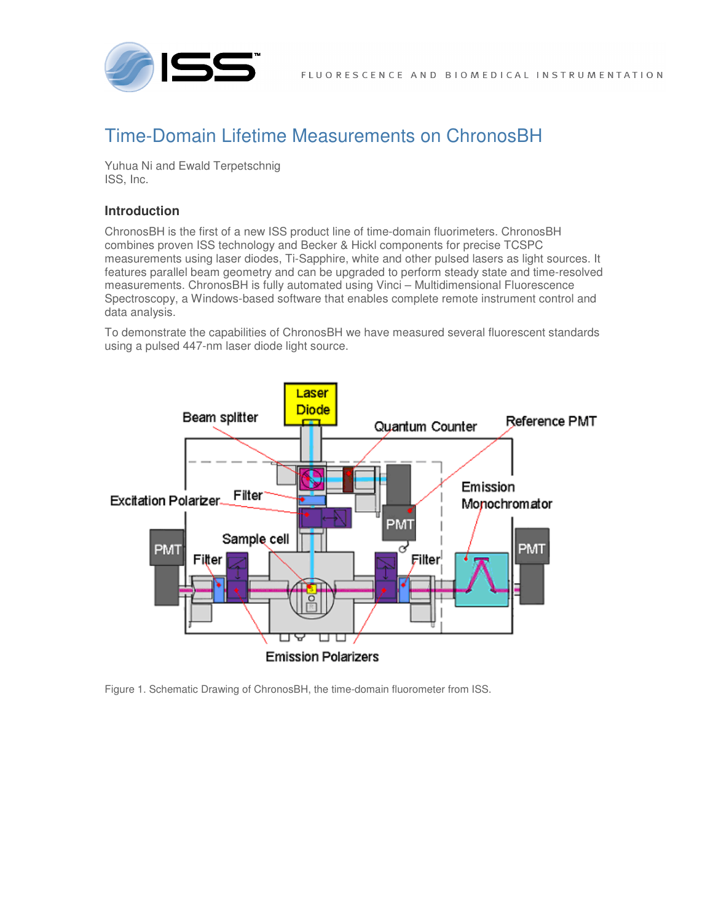

## Time-Domain Lifetime Measurements on ChronosBH

Yuhua Ni and Ewald Terpetschnig ISS, Inc.

## **Introduction**

ChronosBH is the first of a new ISS product line of time-domain fluorimeters. ChronosBH combines proven ISS technology and Becker & Hickl components for precise TCSPC measurements using laser diodes, Ti-Sapphire, white and other pulsed lasers as light sources. It features parallel beam geometry and can be upgraded to perform steady state and time-resolved measurements. ChronosBH is fully automated using Vinci – Multidimensional Fluorescence Spectroscopy, a Windows-based software that enables complete remote instrument control and data analysis.

To demonstrate the capabilities of ChronosBH we have measured several fluorescent standards using a pulsed 447-nm laser diode light source.



Figure 1. Schematic Drawing of ChronosBH, the time-domain fluorometer from ISS.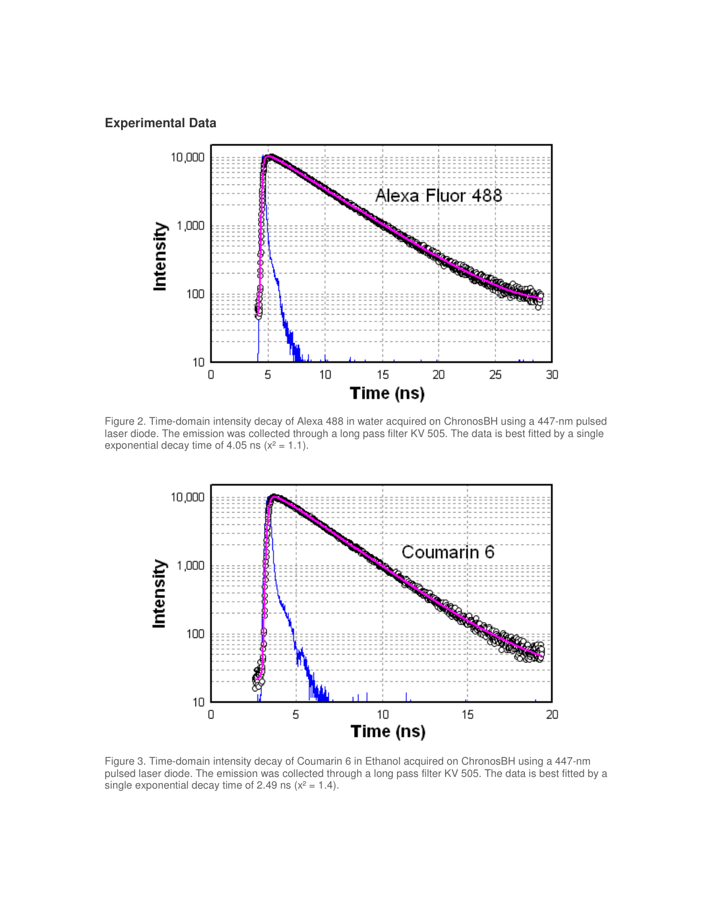## **Experimental Data**



Figure 2. Time-domain intensity decay of Alexa 488 in water acquired on ChronosBH using a 447-nm pulsed laser diode. The emission was collected through a long pass filter KV 505. The data is best fitted by a single exponential decay time of 4.05 ns  $(x^2 = 1.1)$ .



Figure 3. Time-domain intensity decay of Coumarin 6 in Ethanol acquired on ChronosBH using a 447-nm pulsed laser diode. The emission was collected through a long pass filter KV 505. The data is best fitted by a single exponential decay time of 2.49 ns  $(x^2 = 1.4)$ .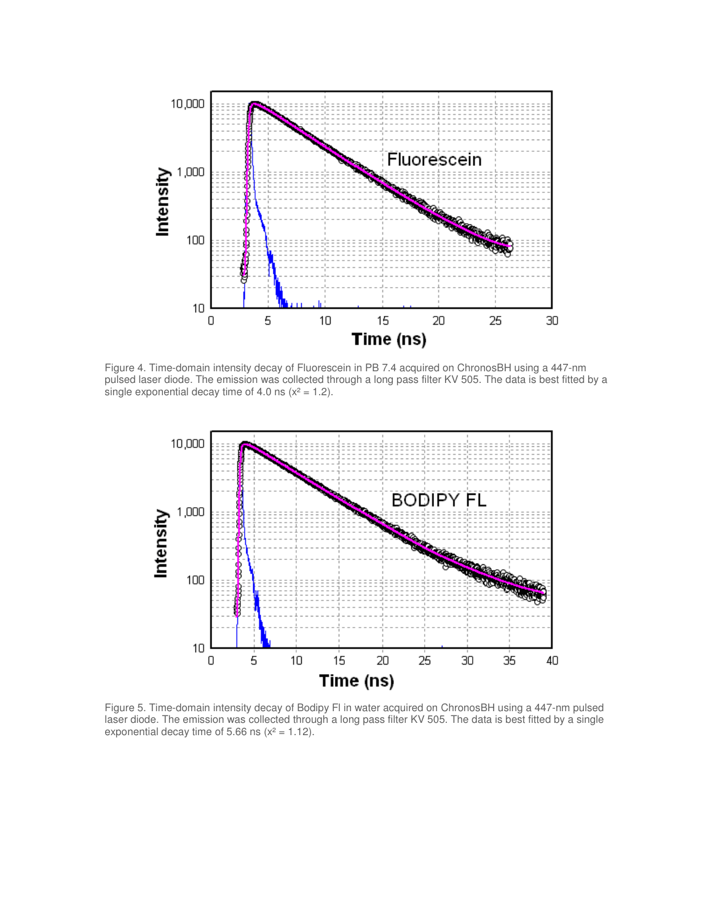

Figure 4. Time-domain intensity decay of Fluorescein in PB 7.4 acquired on ChronosBH using a 447-nm pulsed laser diode. The emission was collected through a long pass filter KV 505. The data is best fitted by a single exponential decay time of 4.0 ns  $(x^2 = 1.2)$ .



Figure 5. Time-domain intensity decay of Bodipy Fl in water acquired on ChronosBH using a 447-nm pulsed laser diode. The emission was collected through a long pass filter KV 505. The data is best fitted by a single exponential decay time of 5.66 ns  $(x^2 = 1.12)$ .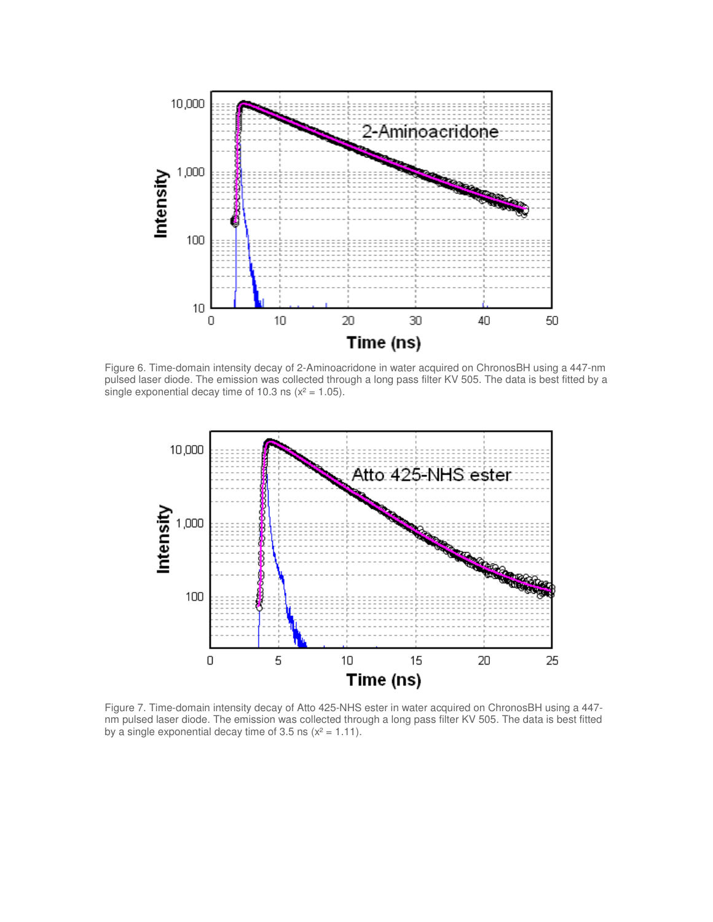

Figure 6. Time-domain intensity decay of 2-Aminoacridone in water acquired on ChronosBH using a 447-nm pulsed laser diode. The emission was collected through a long pass filter KV 505. The data is best fitted by a single exponential decay time of 10.3 ns ( $x^2 = 1.05$ ).



Figure 7. Time-domain intensity decay of Atto 425-NHS ester in water acquired on ChronosBH using a 447 nm pulsed laser diode. The emission was collected through a long pass filter KV 505. The data is best fitted by a single exponential decay time of 3.5 ns  $(x^2 = 1.11)$ .